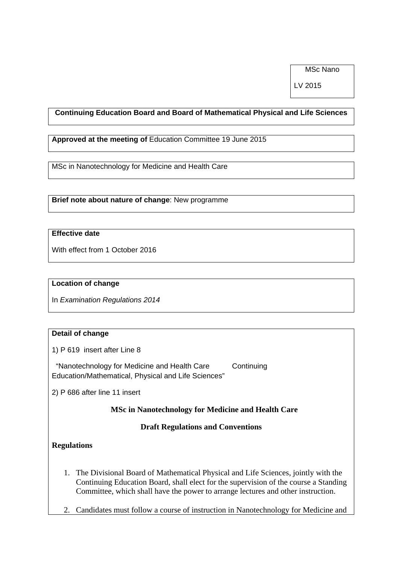MSc Nano

LV 2015

## **Continuing Education Board and Board of Mathematical Physical and Life Sciences**

**Approved at the meeting of** Education Committee 19 June 2015

MSc in Nanotechnology for Medicine and Health Care

**Brief note about nature of change**: New programme

# **Effective date**

With effect from 1 October 2016

#### **Location of change**

In *Examination Regulations 2014* 

### **Detail of change**

1) P 619 insert after Line 8

 "Nanotechnology for Medicine and Health Care Continuing Education/Mathematical, Physical and Life Sciences"

2) P 686 after line 11 insert

 **MSc in Nanotechnology for Medicine and Health Care** 

#### **Draft Regulations and Conventions**

#### **Regulations**

- 1. The Divisional Board of Mathematical Physical and Life Sciences, jointly with the Continuing Education Board, shall elect for the supervision of the course a Standing Committee, which shall have the power to arrange lectures and other instruction.
- 2. Candidates must follow a course of instruction in Nanotechnology for Medicine and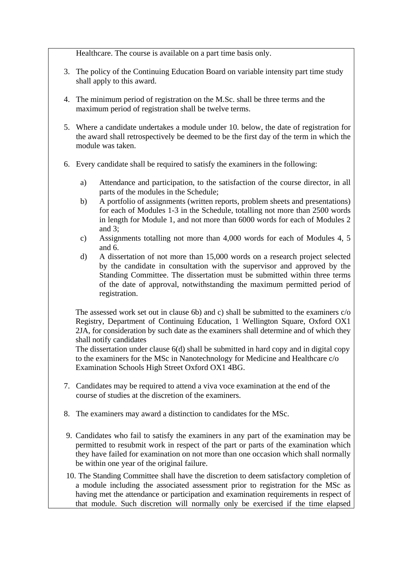Healthcare. The course is available on a part time basis only.

- 3. The policy of the Continuing Education Board on variable intensity part time study shall apply to this award.
- 4. The minimum period of registration on the M.Sc. shall be three terms and the maximum period of registration shall be twelve terms.
- 5. Where a candidate undertakes a module under 10. below, the date of registration for the award shall retrospectively be deemed to be the first day of the term in which the module was taken.
- 6. Every candidate shall be required to satisfy the examiners in the following:
	- a) Attendance and participation, to the satisfaction of the course director, in all parts of the modules in the Schedule;
	- b) A portfolio of assignments (written reports, problem sheets and presentations) for each of Modules 1-3 in the Schedule, totalling not more than 2500 words in length for Module 1, and not more than 6000 words for each of Modules 2 and 3;
	- c) Assignments totalling not more than 4,000 words for each of Modules 4, 5 and 6.
	- d) A dissertation of not more than 15,000 words on a research project selected by the candidate in consultation with the supervisor and approved by the Standing Committee. The dissertation must be submitted within three terms of the date of approval, notwithstanding the maximum permitted period of registration.

The assessed work set out in clause 6b) and c) shall be submitted to the examiners c/o Registry, Department of Continuing Education, 1 Wellington Square, Oxford OX1 2JA, for consideration by such date as the examiners shall determine and of which they shall notify candidates

The dissertation under clause 6(d) shall be submitted in hard copy and in digital copy to the examiners for the MSc in Nanotechnology for Medicine and Healthcare c/o Examination Schools High Street Oxford OX1 4BG.

- 7. Candidates may be required to attend a viva voce examination at the end of the course of studies at the discretion of the examiners.
- 8. The examiners may award a distinction to candidates for the MSc.
- 9. Candidates who fail to satisfy the examiners in any part of the examination may be permitted to resubmit work in respect of the part or parts of the examination which they have failed for examination on not more than one occasion which shall normally be within one year of the original failure.
- 10. The Standing Committee shall have the discretion to deem satisfactory completion of a module including the associated assessment prior to registration for the MSc as having met the attendance or participation and examination requirements in respect of that module. Such discretion will normally only be exercised if the time elapsed